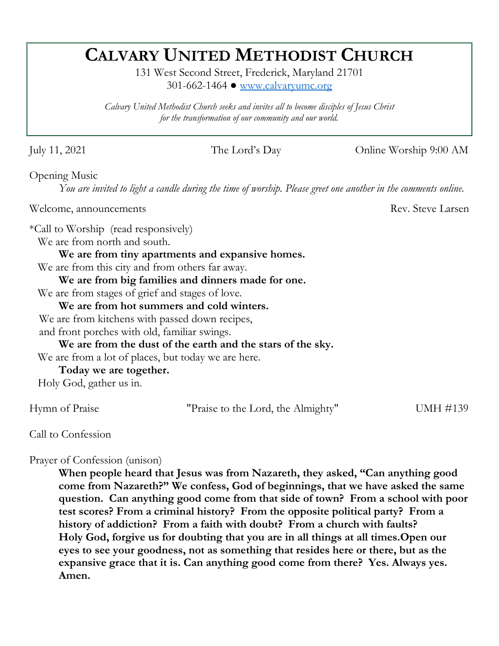# **CALVARY UNITED METHODIST CHURCH**

131 West Second Street, Frederick, Maryland 21701 301-662-1464 ● [www.calvaryumc.org](http://www.calvaryumc.org/)

*Calvary United Methodist Church seeks and invites all to become disciples of Jesus Christ for the transformation of our community and our world.* 

July 11, 2021 The Lord's Day Online Worship 9:00 AM

Opening Music

*You are invited to light a candle during the time of worship. Please greet one another in the comments online.*

Welcome, announcements Rev. Steve Larsen

\*Call to Worship (read responsively)

We are from north and south.

**We are from tiny apartments and expansive homes.** 

We are from this city and from others far away.

**We are from big families and dinners made for one.** 

We are from stages of grief and stages of love.

**We are from hot summers and cold winters.** 

We are from kitchens with passed down recipes,

and front porches with old, familiar swings.

**We are from the dust of the earth and the stars of the sky.** 

We are from a lot of places, but today we are here.

**Today we are together.**

Holy God, gather us in.

Hymn of Praise "Praise to the Lord, the Almighty" UMH #139

Call to Confession

Prayer of Confession (unison)

**When people heard that Jesus was from Nazareth, they asked, "Can anything good come from Nazareth?" We confess, God of beginnings, that we have asked the same question. Can anything good come from that side of town? From a school with poor test scores? From a criminal history? From the opposite political party? From a history of addiction? From a faith with doubt? From a church with faults? Holy God, forgive us for doubting that you are in all things at all times.Open our eyes to see your goodness, not as something that resides here or there, but as the expansive grace that it is. Can anything good come from there? Yes. Always yes. Amen.**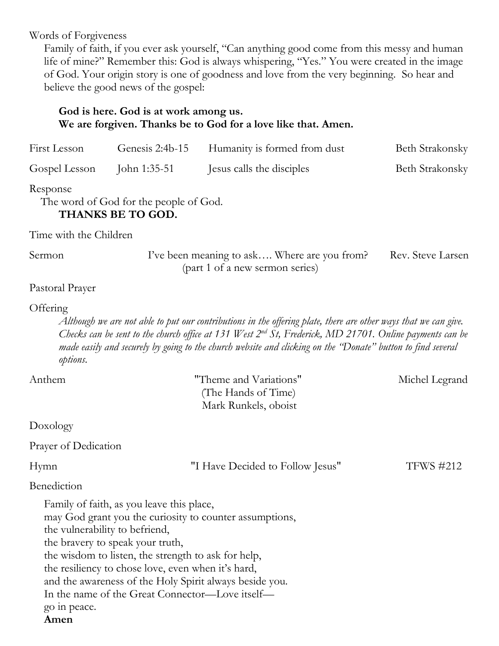Words of Forgiveness

Family of faith, if you ever ask yourself, "Can anything good come from this messy and human life of mine?" Remember this: God is always whispering, "Yes." You were created in the image of God. Your origin story is one of goodness and love from the very beginning. So hear and believe the good news of the gospel:

# **God is here. God is at work among us. We are forgiven. Thanks be to God for a love like that. Amen.**  First Lesson Genesis 2:4b-15 Humanity is formed from dust Beth Strakonsky Gospel Lesson John 1:35-51 Jesus calls the disciples Beth Strakonsky Response The word of God for the people of God. **THANKS BE TO GOD.** Time with the Children Sermon I've been meaning to ask.... Where are you from? Rev. Steve Larsen (part 1 of a new sermon series) Pastoral Prayer **Offering** *Although we are not able to put our contributions in the offering plate, there are other ways that we can give. Checks can be sent to the church office at 131 West 2nd St, Frederick, MD 21701. Online payments can be made easily and securely by going to the church website and clicking on the "Donate" button to find several options.*  Anthem Theme and Variations" Michel Legrand (The Hands of Time) Mark Runkels, oboist Doxology Prayer of Dedication Hymn  $\blacksquare$  Thave Decided to Follow Jesus" TFWS #212 Benediction Family of faith, as you leave this place, may God grant you the curiosity to counter assumptions, the vulnerability to befriend, the bravery to speak your truth, the wisdom to listen, the strength to ask for help, the resiliency to chose love, even when it's hard, and the awareness of the Holy Spirit always beside you. In the name of the Great Connector—Love itself go in peace. **Amen**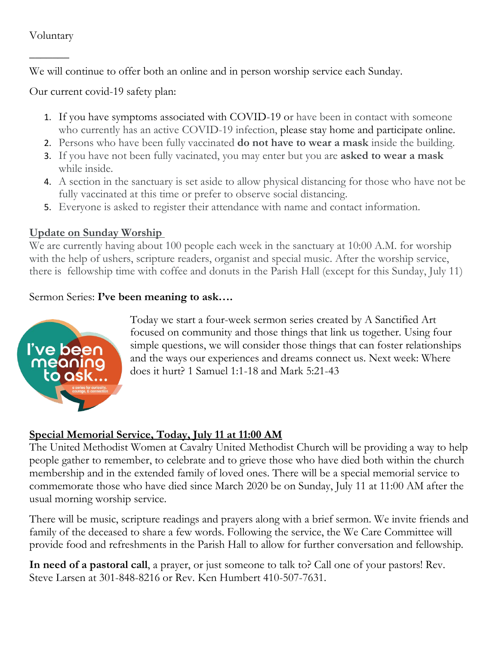#### Voluntary

 $\overline{\phantom{a}}$ 

We will continue to offer both an online and in person worship service each Sunday.

Our current covid-19 safety plan:

- 1. If you have symptoms associated with COVID-19 or have been in contact with someone who currently has an active COVID-19 infection, please stay home and participate online.
- 2. Persons who have been fully vaccinated **do not have to wear a mask** inside the building.
- 3. If you have not been fully vacinated, you may enter but you are **asked to wear a mask** while inside.
- 4. A section in the sanctuary is set aside to allow physical distancing for those who have not be fully vaccinated at this time or prefer to observe social distancing.
- 5. Everyone is asked to register their attendance with name and contact information.

#### **Update on Sunday Worship**

We are currently having about 100 people each week in the sanctuary at 10:00 A.M. for worship with the help of ushers, scripture readers, organist and special music. After the worship service, there is fellowship time with coffee and donuts in the Parish Hall (except for this Sunday, July 11)

#### Sermon Series: **I've been meaning to ask….**



Today we start a four-week sermon series created by A Sanctified Art focused on community and those things that link us together. Using four simple questions, we will consider those things that can foster relationships and the ways our experiences and dreams connect us. Next week: Where does it hurt? 1 Samuel 1:1-18 and Mark 5:21-43

#### **Special Memorial Service, Today, July 11 at 11:00 AM**

The United Methodist Women at Cavalry United Methodist Church will be providing a way to help people gather to remember, to celebrate and to grieve those who have died both within the church membership and in the extended family of loved ones. There will be a special memorial service to commemorate those who have died since March 2020 be on Sunday, July 11 at 11:00 AM after the usual morning worship service.

There will be music, scripture readings and prayers along with a brief sermon. We invite friends and family of the deceased to share a few words. Following the service, the We Care Committee will provide food and refreshments in the Parish Hall to allow for further conversation and fellowship.

**In need of a pastoral call**, a prayer, or just someone to talk to? Call one of your pastors! Rev. Steve Larsen at 301-848-8216 or Rev. Ken Humbert 410-507-7631.